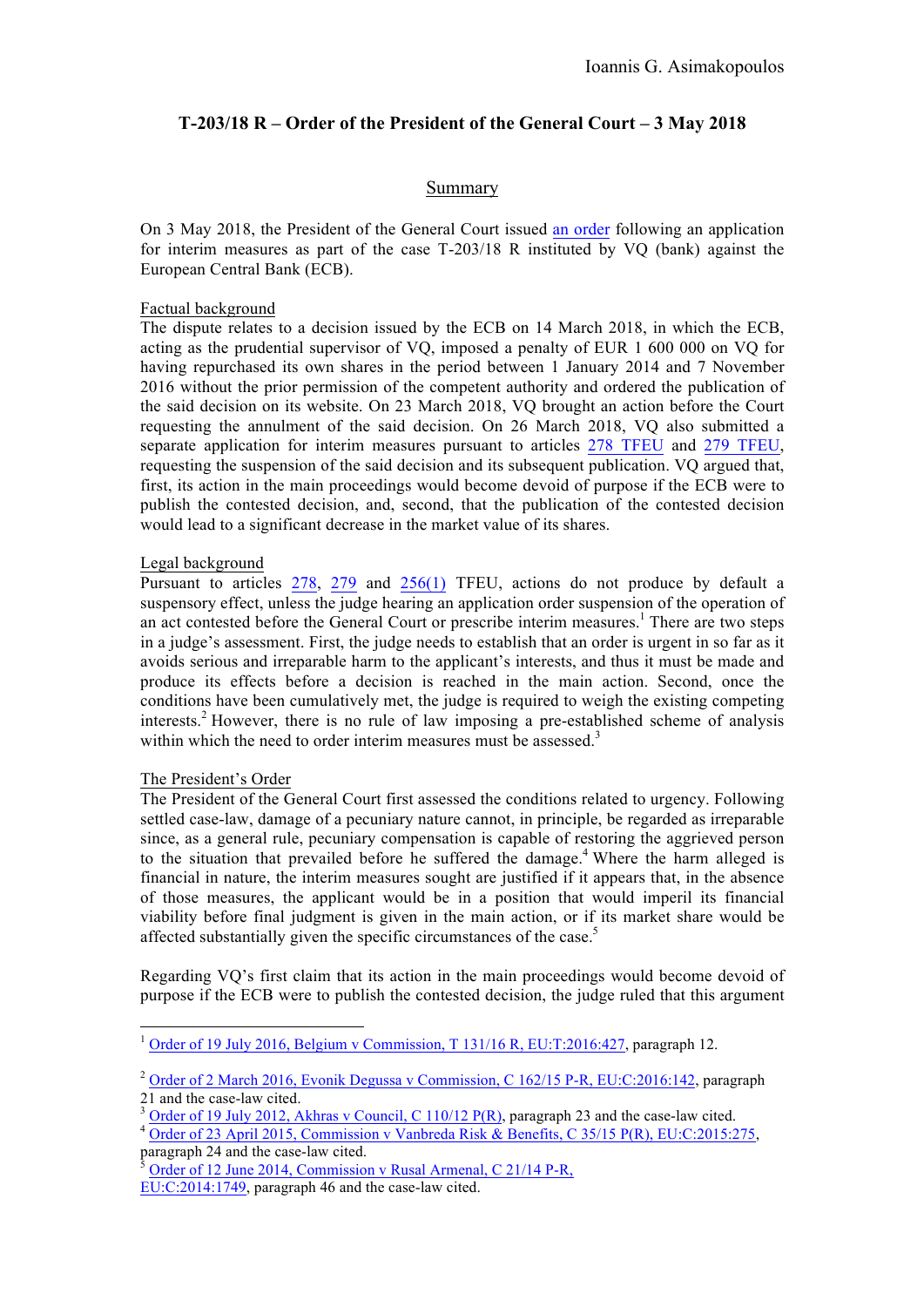# **T-203/18 R – Order of the President of the General Court – 3 May 2018**

## Summary

On 3 May 2018, the President of the General Court issued an order following an application for interim measures as part of the case T-203/18 R instituted by VQ (bank) against the European Central Bank (ECB).

#### Factual background

The dispute relates to a decision issued by the ECB on 14 March 2018, in which the ECB, acting as the prudential supervisor of VQ, imposed a penalty of EUR 1 600 000 on VQ for having repurchased its own shares in the period between 1 January 2014 and 7 November 2016 without the prior permission of the competent authority and ordered the publication of the said decision on its website. On 23 March 2018, VQ brought an action before the Court requesting the annulment of the said decision. On 26 March 2018, VQ also submitted a separate application for interim measures pursuant to articles 278 TFEU and 279 TFEU, requesting the suspension of the said decision and its subsequent publication. VQ argued that, first, its action in the main proceedings would become devoid of purpose if the ECB were to publish the contested decision, and, second, that the publication of the contested decision would lead to a significant decrease in the market value of its shares.

## Legal background

Pursuant to articles 278, 279 and 256(1) TFEU, actions do not produce by default a suspensory effect, unless the judge hearing an application order suspension of the operation of an act contested before the General Court or prescribe interim measures.<sup>1</sup> There are two steps in a judge's assessment. First, the judge needs to establish that an order is urgent in so far as it avoids serious and irreparable harm to the applicant's interests, and thus it must be made and produce its effects before a decision is reached in the main action. Second, once the conditions have been cumulatively met, the judge is required to weigh the existing competing interests.<sup>2</sup> However, there is no rule of law imposing a pre-established scheme of analysis within which the need to order interim measures must be assessed.<sup>3</sup>

## The President's Order

The President of the General Court first assessed the conditions related to urgency. Following settled case-law, damage of a pecuniary nature cannot, in principle, be regarded as irreparable since, as a general rule, pecuniary compensation is capable of restoring the aggrieved person to the situation that prevailed before he suffered the damage.<sup>4</sup> Where the harm alleged is financial in nature, the interim measures sought are justified if it appears that, in the absence of those measures, the applicant would be in a position that would imperil its financial viability before final judgment is given in the main action, or if its market share would be affected substantially given the specific circumstances of the case.<sup>5</sup>

Regarding VQ's first claim that its action in the main proceedings would become devoid of purpose if the ECB were to publish the contested decision, the judge ruled that this argument

 $1$  Order of 19 July 2016, Belgium v Commission, T 131/16 R, EU:T:2016:427, paragraph 12.

 $\frac{2 \text{ Order of 2 March 2016, Evonik Degussa v Commission, C 162/15 P-R, EU:C:2016:142, paragraph 21 and the case-law cited.}$ 

<sup>&</sup>lt;sup>3</sup> Order of 19 July 2012, Akhras v Council, C 110/12 P(R), paragraph 23 and the case-law cited.<br><sup>4</sup> Order of 23 April 2015, Commission v Vanbreda Risk & Benefits, C 35/15 P(R), EU:C:2015:275, paragraph 24 and the case-la

Order of 12 June 2014, Commission v Rusal Armenal, C 21/14 P-R,

EU:C:2014:1749, paragraph 46 and the case-law cited.